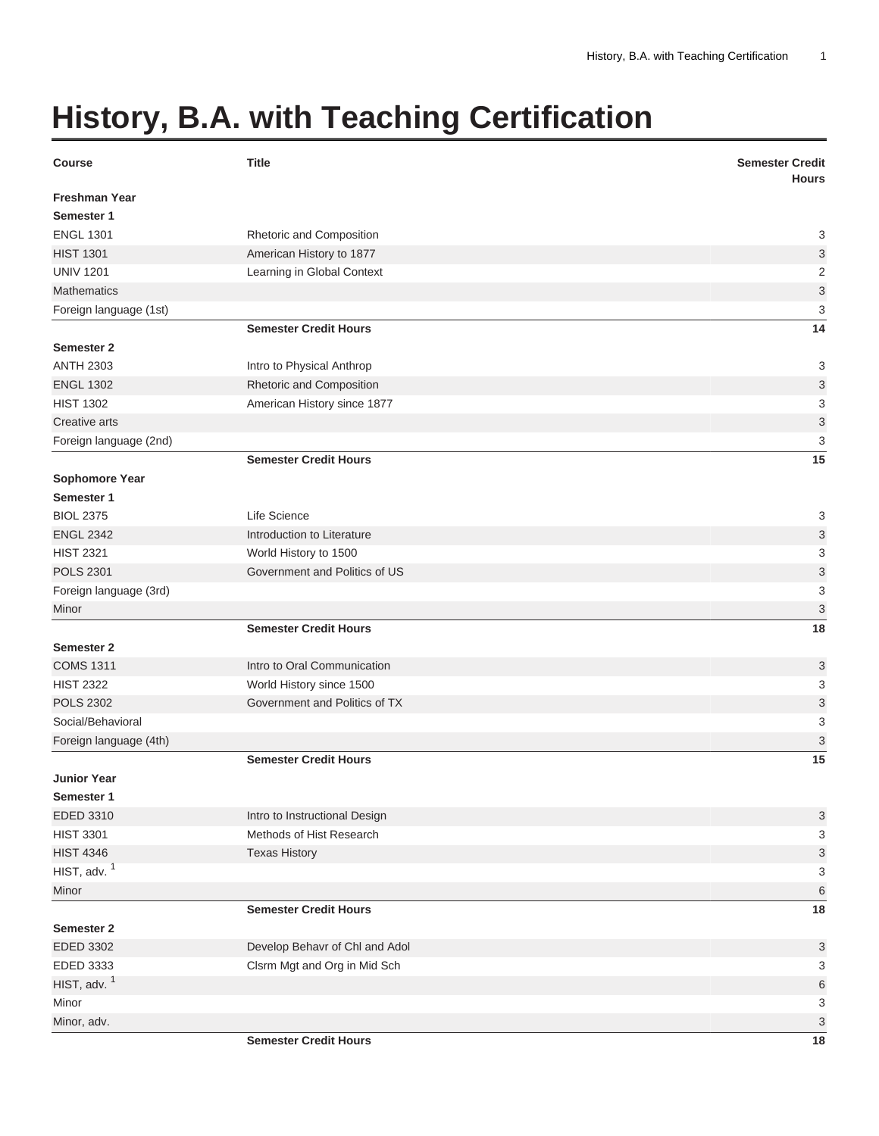## **History, B.A. with Teaching Certification**

| <b>Course</b>                      | <b>Title</b>                   | <b>Semester Credit</b><br><b>Hours</b> |
|------------------------------------|--------------------------------|----------------------------------------|
| <b>Freshman Year</b><br>Semester 1 |                                |                                        |
| <b>ENGL 1301</b>                   | Rhetoric and Composition       | 3                                      |
| <b>HIST 1301</b>                   | American History to 1877       | 3                                      |
| <b>UNIV 1201</b>                   | Learning in Global Context     | $\mathbf 2$                            |
| <b>Mathematics</b>                 |                                | 3                                      |
| Foreign language (1st)             |                                | 3                                      |
|                                    | <b>Semester Credit Hours</b>   | 14                                     |
| Semester 2                         |                                |                                        |
| <b>ANTH 2303</b>                   | Intro to Physical Anthrop      | 3                                      |
| <b>ENGL 1302</b>                   | Rhetoric and Composition       | 3                                      |
| <b>HIST 1302</b>                   | American History since 1877    | 3                                      |
| Creative arts                      |                                | $\mathsf 3$                            |
| Foreign language (2nd)             |                                | 3                                      |
|                                    | <b>Semester Credit Hours</b>   | 15                                     |
| Sophomore Year                     |                                |                                        |
| Semester 1                         |                                |                                        |
| <b>BIOL 2375</b>                   | Life Science                   | 3                                      |
| <b>ENGL 2342</b>                   | Introduction to Literature     | 3                                      |
| <b>HIST 2321</b>                   | World History to 1500          | 3                                      |
| <b>POLS 2301</b>                   | Government and Politics of US  | 3                                      |
| Foreign language (3rd)             |                                | 3                                      |
| Minor                              |                                | 3                                      |
|                                    | <b>Semester Credit Hours</b>   | 18                                     |
| Semester 2                         |                                |                                        |
| <b>COMS 1311</b>                   | Intro to Oral Communication    | 3                                      |
| <b>HIST 2322</b>                   | World History since 1500       | 3                                      |
| <b>POLS 2302</b>                   | Government and Politics of TX  | 3                                      |
| Social/Behavioral                  |                                | 3                                      |
| Foreign language (4th)             |                                | 3                                      |
|                                    | <b>Semester Credit Hours</b>   | 15                                     |
| <b>Junior Year</b>                 |                                |                                        |
| Semester 1                         |                                |                                        |
| EDED 3310                          | Intro to Instructional Design  | 3                                      |
| <b>HIST 3301</b>                   | Methods of Hist Research       | 3                                      |
| <b>HIST 4346</b>                   | <b>Texas History</b>           | 3                                      |
| HIST, adv. $1$                     |                                | 3                                      |
| Minor                              |                                | $6\phantom{1}6$                        |
|                                    | <b>Semester Credit Hours</b>   | 18                                     |
| <b>Semester 2</b>                  |                                |                                        |
| EDED 3302                          | Develop Behavr of Chl and Adol | 3                                      |
| EDED 3333                          | Clsrm Mgt and Org in Mid Sch   | 3                                      |
| HIST, adv. $1$                     |                                | $\,6$                                  |
| Minor                              |                                | 3                                      |
| Minor, adv.                        |                                | 3                                      |
|                                    | <b>Semester Credit Hours</b>   | 18                                     |